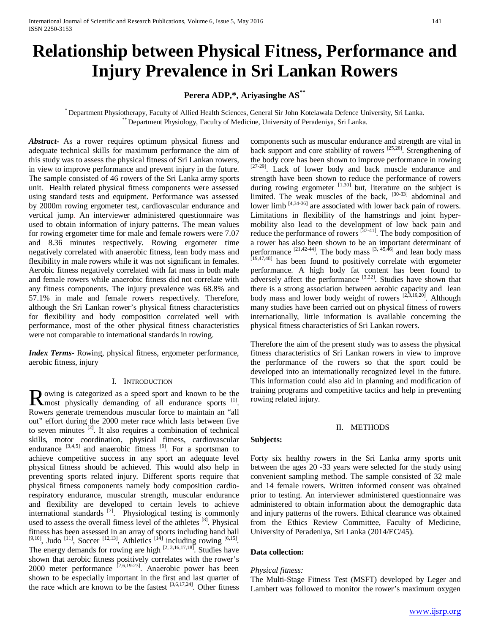# **Relationship between Physical Fitness, Performance and Injury Prevalence in Sri Lankan Rowers**

# **Perera ADP,\*, Ariyasinghe AS\*\***

\* Department Physiotherapy, Faculty of Allied Health Sciences, General Sir John Kotelawala Defence University, Sri Lanka. \*\* Department Physiology, Faculty of Medicine, University of Peradeniya, Sri Lanka.

*Abstract***-** As a rower requires optimum physical fitness and adequate technical skills for maximum performance the aim of this study was to assess the physical fitness of Sri Lankan rowers, in view to improve performance and prevent injury in the future. The sample consisted of 46 rowers of the Sri Lanka army sports unit. Health related physical fitness components were assessed using standard tests and equipment. Performance was assessed by 2000m rowing ergometer test, cardiovascular endurance and vertical jump. An interviewer administered questionnaire was used to obtain information of injury patterns. The mean values for rowing ergometer time for male and female rowers were 7.07 and 8.36 minutes respectively. Rowing ergometer time negatively correlated with anaerobic fitness, lean body mass and flexibility in male rowers while it was not significant in females. Aerobic fitness negatively correlated with fat mass in both male and female rowers while anaerobic fitness did not correlate with any fitness components. The injury prevalence was 68.8% and 57.1% in male and female rowers respectively. Therefore, although the Sri Lankan rower's physical fitness characteristics for flexibility and body composition correlated well with performance, most of the other physical fitness characteristics were not comparable to international standards in rowing.

*Index Terms*- Rowing, physical fitness, ergometer performance, aerobic fitness, injury

#### I. INTRODUCTION

owing is categorized as a speed sport and known to be the Rowing is categorized as a speed sport and known to be the most physically demanding of all endurance sports [1]. Rowers generate tremendous muscular force to maintain an "all out" effort during the 2000 meter race which lasts between five to seven minutes  $^{[2]}$ . It also requires a combination of technical skills, motor coordination, physical fitness, cardiovascular endurance  $[3,4,5]$  and anaerobic fitness  $[6]$ . For a sportsman to achieve competitive success in any sport an adequate level physical fitness should be achieved. This would also help in preventing sports related injury. Different sports require that physical fitness components namely body composition cardiorespiratory endurance, muscular strength, muscular endurance and flexibility are developed to certain levels to achieve international standards  $^{[7]}$ . Physiological testing is commonly used to assess the overall fitness level of the athletes <sup>[8]</sup>. Physical fitness has been assessed in an array of sports including hand ball  $[9,10]$ , Judo  $[11]$ , Soccer  $[12,13]$ , Athletics  $[14]$  including rowing  $[6,15]$ . The energy demands for rowing are high  $[2, 3, 16, 17, 18]$ . Studies have shown that aerobic fitness positively correlates with the rower's 2000 meter performance  $[2,6,19-23]$ . Anaerobic power has been shown to be especially important in the first and last quarter of the race which are known to be the fastest  $[3,6,17,24]$ . Other fitness

components such as muscular endurance and strength are vital in back support and core stability of rowers [25,26]. Strengthening of the body core has been shown to improve performance in rowing [27-29]. Lack of lower body and back muscle endurance and strength have been shown to reduce the performance of rowers during rowing ergometer  $[1,30]$  but, literature on the subject is limited. The weak muscles of the back, [30-33] abdominal and lower  $\lim_{(4,34-36)}$  are associated with lower back pain of rowers. Limitations in flexibility of the hamstrings and joint hypermobility also lead to the development of low back pain and reduce the performance of rowers  $[37-41]$ . The body composition of a rower has also been shown to be an important determinant of performance  $^{[21,42-44]}$ . The body mass  $^{[3, 45,46]}$  and lean body mass [19,47,48] has been found to positively correlate with ergometer performance. A high body fat content has been found to adversely affect the performance  $[3,22]$ . Studies have shown that there is a strong association between aerobic capacity and lean body mass and lower body weight of rowers  $[2,3,16,20]$ . Although many studies have been carried out on physical fitness of rowers internationally, little information is available concerning the physical fitness characteristics of Sri Lankan rowers.

Therefore the aim of the present study was to assess the physical fitness characteristics of Sri Lankan rowers in view to improve the performance of the rowers so that the sport could be developed into an internationally recognized level in the future. This information could also aid in planning and modification of training programs and competitive tactics and help in preventing rowing related injury.

#### II. METHODS

## **Subjects:**

Forty six healthy rowers in the Sri Lanka army sports unit between the ages 20 -33 years were selected for the study using convenient sampling method. The sample consisted of 32 male and 14 female rowers. Written informed consent was obtained prior to testing. An interviewer administered questionnaire was administered to obtain information about the demographic data and injury patterns of the rowers. Ethical clearance was obtained from the Ethics Review Committee, Faculty of Medicine, University of Peradeniya, Sri Lanka (2014/EC/45).

### **Data collection:**

#### *Physical fitness:*

The Multi-Stage Fitness Test (MSFT) developed by Leger and Lambert was followed to monitor the rower's maximum oxygen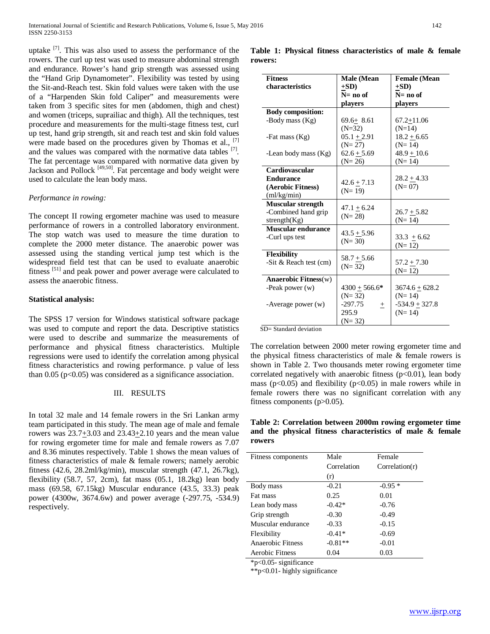uptake  $\left[7\right]$ . This was also used to assess the performance of the rowers. The curl up test was used to measure abdominal strength and endurance. Rower's hand grip strength was assessed using the "Hand Grip Dynamometer". Flexibility was tested by using the Sit-and-Reach test. Skin fold values were taken with the use of a "Harpenden Skin fold Caliper" and measurements were taken from 3 specific sites for men (abdomen, thigh and chest) and women (triceps, suprailiac and thigh). All the techniques, test procedure and measurements for the multi-stage fitness test, curl up test, hand grip strength, sit and reach test and skin fold values were made based on the procedures given by Thomas et al.,  $^{[7]}$ and the values was compared with the normative data tables <sup>[7]</sup>. The fat percentage was compared with normative data given by Jackson and Pollock [49,50]. Fat percentage and body weight were used to calculate the lean body mass.

### *Performance in rowing:*

The concept II rowing ergometer machine was used to measure performance of rowers in a controlled laboratory environment. The stop watch was used to measure the time duration to complete the 2000 meter distance. The anaerobic power was assessed using the standing vertical jump test which is the widespread field test that can be used to evaluate anaerobic fitness<sup>[51]</sup> and peak power and power average were calculated to assess the anaerobic fitness.

#### **Statistical analysis:**

The SPSS 17 version for Windows statistical software package was used to compute and report the data. Descriptive statistics were used to describe and summarize the measurements of performance and physical fitness characteristics. Multiple regressions were used to identify the correlation among physical fitness characteristics and rowing performance. p value of less than  $0.05$  ( $p<0.05$ ) was considered as a significance association.

#### III. RESULTS

In total 32 male and 14 female rowers in the Sri Lankan army team participated in this study. The mean age of male and female rowers was 23.7+3.03 and 23.43+2.10 years and the mean value for rowing ergometer time for male and female rowers as 7.07 and 8.36 minutes respectively. Table 1 shows the mean values of fitness characteristics of male & female rowers; namely aerobic fitness (42.6, 28.2ml/kg/min), muscular strength (47.1, 26.7kg), flexibility  $(58.7, 57, 2cm)$ , fat mass  $(05.1, 18.2kg)$  lean body mass (69.58, 67.15kg) Muscular endurance (43.5, 33.3) peak power (4300w, 3674.6w) and power average (-297.75, -534.9) respectively.

| <b>Fitness</b>            | Male (Mean          | <b>Female</b> (Mean |
|---------------------------|---------------------|---------------------|
| characteristics           | $+SD$ )             | $+SD$ )             |
|                           | $N = no$ of         | $N = no$ of         |
|                           | players             | players             |
| <b>Body composition:</b>  |                     |                     |
| -Body mass (Kg)           | $69.6 + 8.61$       | $67.2 + 11.06$      |
|                           | $(N=32)$            | $(N=14)$            |
| -Fat mass (Kg)            | $05.1 + 2.91$       | $18.2 + 6.65$       |
|                           | $(N=27)$            | $(N=14)$            |
| -Lean body mass (Kg)      | $62.6 + 5.69$       | $48.9 + 10.6$       |
|                           | $(N=26)$            | $(N=14)$            |
| <b>Cardiovascular</b>     |                     |                     |
| <b>Endurance</b>          | $42.6 + 7.13$       | $28.2 + 4.33$       |
| (Aerobic Fitness)         | $(N=19)$            | $(N = 07)$          |
| (ml/kg/min)               |                     |                     |
| <b>Muscular strength</b>  | $47.1 + 6.24$       |                     |
| -Combined hand grip       | $(N=28)$            | $26.7 + 5.82$       |
| strength $(Kg)$           |                     | $(N=14)$            |
| <b>Muscular endurance</b> | $43.5 + 5.96$       |                     |
| -Curl ups test            | $(N = 30)$          | $33.3 + 6.62$       |
|                           |                     | $(N=12)$            |
| Flexibility               | $58.7 + 5.66$       |                     |
| -Sit $&$ Reach test (cm)  | $(N = 32)$          | $57.2 + 7.30$       |
|                           |                     | $(N=12)$            |
| Anaerobic Fitness $(w)$   |                     |                     |
| -Peak power $(w)$         | $4300 + 566.6*$     | $3674.6 + 628.2$    |
|                           | $(N=32)$            | $(N=14)$            |
| -Average power $(w)$      | $-297.75$<br>$^{+}$ | $-534.9 + 327.8$    |
|                           | 295.9               | $(N=14)$            |
|                           | $(N=32)$            |                     |

SD= Standard deviation

The correlation between 2000 meter rowing ergometer time and the physical fitness characteristics of male  $\&$  female rowers is shown in Table 2. Two thousands meter rowing ergometer time correlated negatively with anaerobic fitness  $(p<0.01)$ , lean body mass ( $p<0.05$ ) and flexibility ( $p<0.05$ ) in male rowers while in female rowers there was no significant correlation with any fitness components (p>0.05).

**Table 2: Correlation between 2000m rowing ergometer time and the physical fitness characteristics of male & female rowers**

| Fitness components | Male        | Female         |
|--------------------|-------------|----------------|
|                    | Correlation | Correlation(r) |
|                    | (r)         |                |
| Body mass          | $-0.21$     | $-0.95*$       |
| Fat mass           | 0.25        | 0.01           |
| Lean body mass     | $-0.42*$    | $-0.76$        |
| Grip strength      | $-0.30$     | $-0.49$        |
| Muscular endurance | $-0.33$     | $-0.15$        |
| Flexibility        | $-0.41*$    | $-0.69$        |
| Anaerobic Fitness  | $-0.81**$   | $-0.01$        |
| Aerobic Fitness    | 0.04        | 0.03           |

\*p<0.05- significance

\*\*p<0.01- highly significance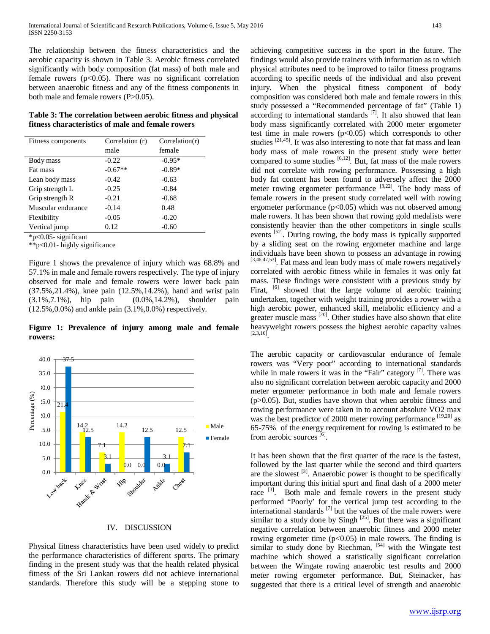The relationship between the fitness characteristics and the aerobic capacity is shown in Table 3. Aerobic fitness correlated significantly with body composition (fat mass) of both male and female rowers  $(p<0.05)$ . There was no significant correlation between anaerobic fitness and any of the fitness components in both male and female rowers (P>0.05).

**Table 3: The correlation between aerobic fitness and physical fitness characteristics of male and female rowers**

| Fitness components | Correlation (r) | Correlation(r) |
|--------------------|-----------------|----------------|
|                    | male            | female         |
| Body mass          | $-0.22$         | $-0.95*$       |
| Fat mass           | $-0.67**$       | $-0.89*$       |
| Lean body mass     | $-0.42$         | $-0.63$        |
| Grip strength L    | $-0.25$         | $-0.84$        |
| Grip strength R    | $-0.21$         | $-0.68$        |
| Muscular endurance | $-0.14$         | 0.48           |
| Flexibility        | $-0.05$         | $-0.20$        |
| Vertical jump      | 0.12            | $-0.60$        |

\*p<0.05- significant

\*\*p<0.01- highly significance

Figure 1 shows the prevalence of injury which was 68.8% and 57.1% in male and female rowers respectively. The type of injury observed for male and female rowers were lower back pain (37.5%,21.4%), knee pain (12.5%,14.2%), hand and wrist pain (3.1%,7.1%), hip pain (0.0%,14.2%), shoulder pain (12.5%,0.0%) and ankle pain (3.1%,0.0%) respectively.

**Figure 1: Prevalence of injury among male and female rowers:**



#### IV. DISCUSSION

Physical fitness characteristics have been used widely to predict the performance characteristics of different sports. The primary finding in the present study was that the health related physical fitness of the Sri Lankan rowers did not achieve international standards. Therefore this study will be a stepping stone to achieving competitive success in the sport in the future. The findings would also provide trainers with information as to which physical attributes need to be improved to tailor fitness programs according to specific needs of the individual and also prevent injury. When the physical fitness component of body composition was considered both male and female rowers in this study possessed a "Recommended percentage of fat" (Table 1) according to international standards  $[7]$ . It also showed that lean body mass significantly correlated with 2000 meter ergometer test time in male rowers  $(p<0.05)$  which corresponds to other studies  $[21,45]$ . It was also interesting to note that fat mass and lean body mass of male rowers in the present study were better compared to some studies  $[6,12]$ . But, fat mass of the male rowers did not correlate with rowing performance. Possessing a high body fat content has been found to adversely affect the 2000 meter rowing ergometer performance [3,22]. The body mass of female rowers in the present study correlated well with rowing ergometer performance  $(p<0.05)$  which was not observed among male rowers. It has been shown that rowing gold medalists were consistently heavier than the other competitors in single sculls events <sup>[52]</sup>. During rowing, the body mass is typically supported by a sliding seat on the rowing ergometer machine and large individuals have been shown to possess an advantage in rowing [3,46,47,53]. Fat mass and lean body mass of male rowers negatively correlated with aerobic fitness while in females it was only fat mass. These findings were consistent with a previous study by Firat, <sup>[6]</sup> showed that the large volume of aerobic training undertaken, together with weight training provides a rower with a high aerobic power, enhanced skill, metabolic efficiency and a greater muscle mass <sup>[20]</sup>. Other studies have also shown that elite heavyweight rowers possess the highest aerobic capacity values  $[2,3,16]$ 

The aerobic capacity or cardiovascular endurance of female rowers was "Very poor" according to international standards while in male rowers it was in the "Fair" category  $[7]$ . There was also no significant correlation between aerobic capacity and 2000 meter ergometer performance in both male and female rowers  $(p>0.05)$ . But, studies have shown that when aerobic fitness and rowing performance were taken in to account absolute VO2 max was the best predictor of 2000 meter rowing performance [19,20] as 65-75% of the energy requirement for rowing is estimated to be from aerobic sources<sup>[6]</sup>.

It has been shown that the first quarter of the race is the fastest, followed by the last quarter while the second and third quarters are the slowest  $[3]$ . Anaerobic power is thought to be specifically important during this initial spurt and final dash of a 2000 meter race <sup>[3]</sup>. Both male and female rowers in the present study performed "Poorly' for the vertical jump test according to the international standards [7] but the values of the male rowers were similar to a study done by Singh  $[25]$ . But there was a significant negative correlation between anaerobic fitness and 2000 meter rowing ergometer time  $(p<0.05)$  in male rowers. The finding is similar to study done by Riechman,  $[54]$  with the Wingate test machine which showed a statistically significant correlation between the Wingate rowing anaerobic test results and 2000 meter rowing ergometer performance. But, Steinacker, has suggested that there is a critical level of strength and anaerobic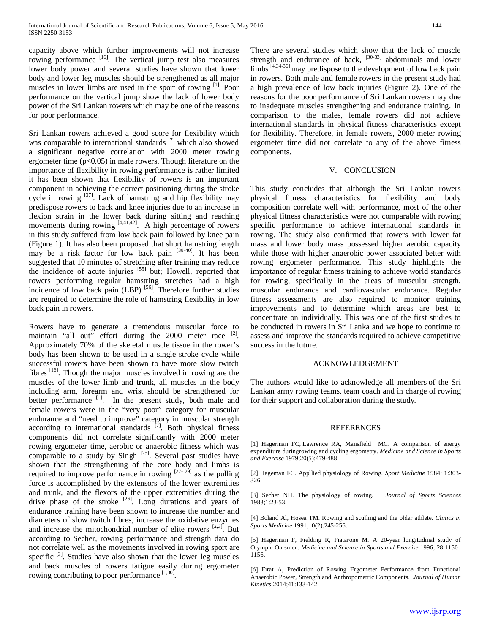capacity above which further improvements will not increase rowing performance <sup>[16]</sup>. The vertical jump test also measures lower body power and several studies have shown that lower body and lower leg muscles should be strengthened as all major muscles in lower limbs are used in the sport of rowing <sup>[1]</sup>. Poor performance on the vertical jump show the lack of lower body power of the Sri Lankan rowers which may be one of the reasons for poor performance.

Sri Lankan rowers achieved a good score for flexibility which was comparable to international standards [7] which also showed a significant negative correlation with 2000 meter rowing ergometer time  $(p<0.05)$  in male rowers. Though literature on the importance of flexibility in rowing performance is rather limited it has been shown that flexibility of rowers is an important component in achieving the correct positioning during the stroke cycle in rowing  $[37]$ . Lack of hamstring and hip flexibility may predispose rowers to back and knee injuries due to an increase in flexion strain in the lower back during sitting and reaching movements during rowing  $[4,41,42]$ . A high percentage of rowers in this study suffered from low back pain followed by knee pain (Figure 1). It has also been proposed that short hamstring length may be a risk factor for low back pain [38-40]. It has been suggested that 10 minutes of stretching after training may reduce the incidence of acute injuries [55] but; Howell, reported that rowers performing regular hamstring stretches had a high incidence of low back pain (LBP)<sup>[56]</sup>. Therefore further studies are required to determine the role of hamstring flexibility in low back pain in rowers.

Rowers have to generate a tremendous muscular force to maintain "all out" effort during the 2000 meter race <sup>[2]</sup>. Approximately 70% of the skeletal muscle tissue in the rower's body has been shown to be used in a single stroke cycle while successful rowers have been shown to have more slow twitch fibres [16]. Though the major muscles involved in rowing are the muscles of the lower limb and trunk, all muscles in the body including arm, forearm and wrist should be strengthened for better performance  $\begin{bmatrix} 1 \end{bmatrix}$ . In the present study, both male and female rowers were in the "very poor" category for muscular endurance and "need to improve" category in muscular strength according to international standards  $[7]$ . Both physical fitness components did not correlate significantly with 2000 meter rowing ergometer time, aerobic or anaerobic fitness which was comparable to a study by Singh <sup>[25]</sup>. Several past studies have shown that the strengthening of the core body and limbs is required to improve performance in rowing  $[27 - 29]$  as the pulling force is accomplished by the extensors of the lower extremities and trunk, and the flexors of the upper extremities during the drive phase of the stroke  $[26]$ . Long durations and years of endurance training have been shown to increase the number and diameters of slow twitch fibres, increase the oxidative enzymes and increase the mitochondrial number of elite rowers  $[2,3]$ . But according to Secher, rowing performance and strength data do not correlate well as the movements involved in rowing sport are specific  $[3]$ . Studies have also shown that the lower leg muscles and back muscles of rowers fatigue easily during ergometer rowing contributing to poor performance  $[1,30]$ .

There are several studies which show that the lack of muscle strength and endurance of back, <sup>[30-33]</sup> abdominals and lower  $\lim_{\delta}$  [4,34-36] may predispose to the development of low back pain in rowers. Both male and female rowers in the present study had a high prevalence of low back injuries (Figure 2). One of the reasons for the poor performance of Sri Lankan rowers may due to inadequate muscles strengthening and endurance training. In comparison to the males, female rowers did not achieve international standards in physical fitness characteristics except for flexibility. Therefore, in female rowers, 2000 meter rowing

#### V. CONCLUSION

ergometer time did not correlate to any of the above fitness

components.

This study concludes that although the Sri Lankan rowers physical fitness characteristics for flexibility and body composition correlate well with performance, most of the other physical fitness characteristics were not comparable with rowing specific performance to achieve international standards in rowing. The study also confirmed that rowers with lower fat mass and lower body mass possessed higher aerobic capacity while those with higher anaerobic power associated better with rowing ergometer performance. This study highlights the importance of regular fitness training to achieve world standards for rowing, specifically in the areas of muscular strength, muscular endurance and cardiovascular endurance. Regular fitness assessments are also required to monitor training improvements and to determine which areas are best to concentrate on individually. This was one of the first studies to be conducted in rowers in Sri Lanka and we hope to continue to assess and improve the standards required to achieve competitive success in the future.

#### ACKNOWLEDGEMENT

The authors would like to acknowledge all members of the Sri Lankan army rowing teams, team coach and in charge of rowing for their support and collaboration during the study.

#### REFERENCES

[1] [Hagerman FC,](http://europepmc.org/search?page=1&query=AUTH:%22Hagerman+FC%22) [Lawrence RA,](http://europepmc.org/search?page=1&query=AUTH:%22Lawrence+RA%22) [Mansfield MC.](http://europepmc.org/search?page=1&query=AUTH:%22Mansfield+MC%22) A comparison of energy expenditure duringrowing and cycling ergometry. *[Medicine and Science in Sports](http://europepmc.org/search?page=1&query=ISSN:%220195-9131%22)  [and Exercise](http://europepmc.org/search?page=1&query=ISSN:%220195-9131%22)* 1979;20(5):479-488.

[2] Hageman FC. Appllied physiology of Rowing. *Sport Medicine* 1984; 1:303- 326.

[3] Secher NH. The physiology of rowing. *Journal of Sports Sciences* 1983;1:23-53.

[4] Boland Al, Hosea TM. Rowing and sculling and the older athlete. *Clinics in Sports Medicine* 1991;10(2):245-256.

[5] Hagerman F, Fielding R, Fiatarone M. A 20-year longitudinal study of Olympic Oarsmen. *Medicine and Science in Sports and Exercise* 1996; 28:1150– 1156.

[6] Fırat A, Prediction of Rowing Ergometer Performance from Functional Anaerobic Power, Strength and Anthropometric Components. *Journal of Human Kinetics* 2014;41:133-142.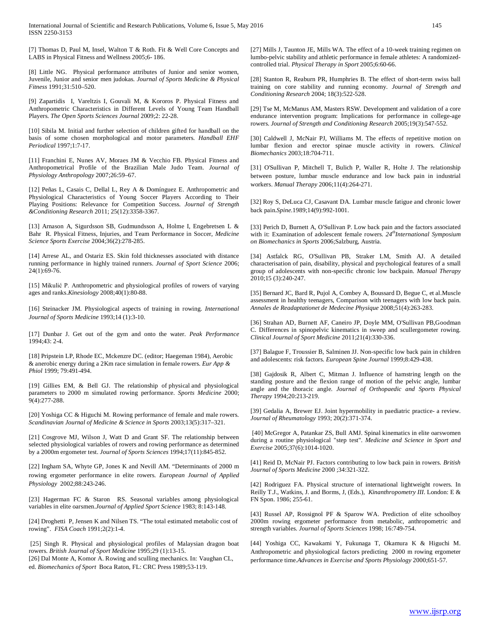International Journal of Scientific and Research Publications, Volume 6, Issue 5, May 2016 145 ISSN 2250-3153

[7] Thomas D, Paul M, Insel, Walton T & Roth. Fit & Well Core Concepts and LABS in Physical Fitness and Wellness 2005;6- 186.

[8] Little NG. Physical performance attributes of Junior and senior women, Juvenile, Junior and senior men judokas. *Journal of Sports Medicine & Physical Fitness* 1991;31:510–520.

[9] Zapartidis I, Vareltzis I, Gouvali M, & Kororos P. Physical Fitness and Anthropometric Characteristics in Different Levels of Young Team Handball Players. *The Open Sports Sciences Journal* 2009;2: 22-28.

[10] Sibila M. Initial and further selection of children gifted for handball on the basis of some chosen morphological and motor parameters. *Handball EHF Periodical* 1997;1:7-17.

[11] Franchini E, Nunes AV, Moraes JM & Vecchio FB. Physical Fitness and Anthropometrical Profile of the Brazilian Male Judo Team. *Journal of Physiology Anthropology* 2007;26:59–67.

[12] Peñas L, Casais C, Dellal L, Rey A & Domínguez E. Anthropometric and Physiological Characteristics of Young Soccer Players According to Their Playing Positions: Relevance for Competition Success. *Journal of Strength &Conditioning Research* 2011; 25(12):3358-3367.

[13] Arnason A, Sigurdsson SB, Gudmundsson A, Holme I, Engebretsen L & Bahr R. Physical Fitness, Injuries, and Team Performance in Soccer, *Medicine Science Sports Exercise* 2004;36(2):278-285.

[14] [Arrese AL, a](http://www.ncbi.nlm.nih.gov/pubmed/?term=Arrese%20AL%5BAuthor%5D&cauthor=true&cauthor_uid=16368615)nd Ostariz ES. Skin fold thicknesses associated with distance running performance in highly trained runners. *Journal of Sport Science* 2006; 24(1):69-76.

[15] Mikulić P. Anthropometric and physiological profiles of rowers of varying ages and ranks.*Kinesiology* 2008;40(1):80-88.

[16] Steinacker JM. Physiological aspects of training in rowing. *International Journal of Sports Medicine* 1993;14 (1):3-10.

[17] Dunbar J. Get out of the gym and onto the water. *Peak Performance* 1994;43: 2-4.

[18] Pripstein LP, Rhode EC, Mckenzre DC. (editor; Haegeman 1984), Aerobic & anerobic energy during a 2Km race simulation in female rowers. *Eur App & Phiol* 1999; 79:491-494.

[19] [Gillies](http://www.tandfonline.com/action/doSearch?action=runSearch&type=advanced&searchType=journal&result=true&prevSearch=%2Bauthorsfield%3A(Gillies%2C+E)) EM, & [Bell](http://www.tandfonline.com/action/doSearch?action=runSearch&type=advanced&searchType=journal&result=true&prevSearch=%2Bauthorsfield%3A(Bell%2C+G)) GJ. The relationship of physical and physiological parameters to 2000 m simulated rowing performance. *Sports Medicine* 2000; 9(4):277-288.

[20] Yoshiga CC & Higuchi M. Rowing performance of female and male rowers. *Scandinavian Journal of Medicine & Science in Sports* 2003;13(5):317–321.

[21] Cosgrove MJ, Wilson J, Watt D and Grant SF. The relationship between selected physiological variables of rowers and rowing performance as determined by a 2000m ergometer test. *Journal of Sports Sciences* 1994;17(11):845-852.

[22] Ingham SA, Whyte GP, Jones K and Nevill AM. "Determinants of 2000 m rowing ergometer performance in elite rowers. *European Journal of Applied Physiology* 2002;88:243-246.

[23] Hagerman FC & Staron RS. Seasonal variables among physiological variables in elite oarsmen.*Journal of Applied Sport Science* 1983; 8:143-148.

[24] Droghetti P, Jensen K and Nilsen TS. "The total estimated metabolic cost of rowing". *FISA Coach* 1991;2(2):1-4.

[25] Singh R. Physical and physiological profiles of Malaysian dragon boat rowers. *British Journal of Sport Medicine* 1995;29 (1):13-15. [26] Dal Monte A, Komor A. Rowing and sculling mechanics. In: Vaughan CL, ed. *Biomechanics of Sport* Boca Raton, FL: CRC Press 1989;53-119.

[27] Mills J, Taunton JE, Mills WA. The effect of a 10-week training regimen on lumbo-pelvic stability and athletic performance in female athletes: A randomizedcontrolled trial. *Physical Therapy in Sport* 2005;6:60-66.

[28] Stanton R, Reaburn PR, Humphries B. The effect of short-term swiss ball training on core stability and running economy. *Journal of Strength and Conditioning Research* 2004; 18(3):522-528.

[29] Tse M, McManus AM, Masters RSW. Development and validation of a core endurance intervention program: Implications for performance in college-age rowers. *Journal of Strength and Conditioning Research* 2005;19(3):547-552.

[30] Caldwell J, McNair PJ, Williams M. The effects of repetitive motion on lumbar flexion and erector spinae muscle activity in rowers. *Clinical Biomechanics* 2003;18:704-711.

[31] O'Sullivan P, Mitchell T, Bulich P, Waller R, Holte J. The relationship between posture, lumbar muscle endurance and low back pain in industrial workers. *Manual Therapy* 2006;11(4):264-271.

[32] Roy S, DeLuca CJ, Casavant DA. Lumbar muscle fatigue and chronic lower back pain.*Spine.*1989;14(9):992-1001.

[33] Perich D, Burnett A, O'Sullivan P. Low back pain and the factors associated with it: Examination of adolescent female rowers.  $24<sup>th</sup> International Symposium$ *on Biomechanics in Sports* 2006;Salzburg, Austria.

[34] Astfalck RG, O'Sullivan PB, Straker LM, Smith AJ. A detailed characterisation of pain, disability, physical and psychological features of a small group of adolescents with non-specific chronic low backpain. *Manual Therapy*  2010;15 (3):240-247.

[35] Bernard JC, Bard R, Pujol A, Combey A, Boussard D, Begue C, et al.Muscle assessment in healthy teenagers, Comparison with teenagers with low back pain. *Annales de Readaptationet de Medecine Physique* 2008;51(4):263-283.

[36] Strahan AD, Burnett AF, Caneiro JP, Doyle MM, O'Sullivan PB,Goodman C. Differences in spinopelvic kinematics in sweep and scullergometer rowing. *Clinical Journal of Sport Medicine* 2011;21(4):330-336.

[37] Balague F, Troussier B, Salminen JJ. Non-specific low back pain in children and adolescents: risk factors. *European Spine Journal* 1999;8:429-438.

[38] Gajdosik R, Albert C, Mitman J. Influence of hamstring length on the standing posture and the flexion range of motion of the pelvic angle, lumbar angle and the thoracic angle. *Journal of Orthopaedic and Sports Physical Therapy* 1994;20:213-219.

[39] Gedalia A, Brewer EJ. Joint hypermobility in paediatric practice- a review. *Journal of Rheumatology* 1993; 20(2):371-374.

[40] McGregor A, Patankar ZS, Bull AMJ. Spinal kinematics in elite oarswomen during a routine physiological "step test". *Medicine and Science in Sport and Exercise* 2005;37(6):1014-1020.

[41] Reid D, McNair PJ. Factors contributing to low back pain in rowers. *British Journal of Sports Medicine* 2000 ;34:321-322.

[42] Rodriguez FA. Physical structure of international lightweight rowers. In Reilly T.J., Watkins, J. and Borms, J, (Eds.), *Kinanthropometry III*. London: E & FN Spon. 1986; 255-61.

[43] Russel AP, Rossignol PF & Sparow WA. Prediction of elite schoolboy 2000m rowing ergometer performance from metabolic, anthropometric and strength variables. *Journal of Sports Sciences* 1998; 16:749-754.

[44] Yoshiga CC, Kawakami Y, Fukunaga T, Okamura K & Higuchi M. Anthropometric and physiological factors predicting 2000 m rowing ergometer performance time.*Advances in Exercise and Sports Physiology* 2000;651-57.